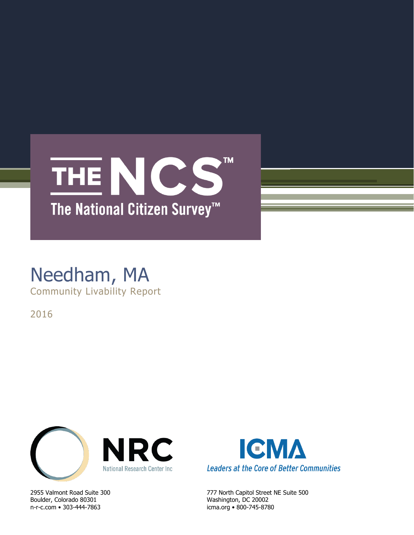

## Needham, MA Community Livability Report

2016



Boulder, Colorado 80301 Washington, DC 20002 n-r-c.com • 303-444-7863 icma.org • 800-745-8780



2955 Valmont Road Suite 300 777 North Capitol Street NE Suite 500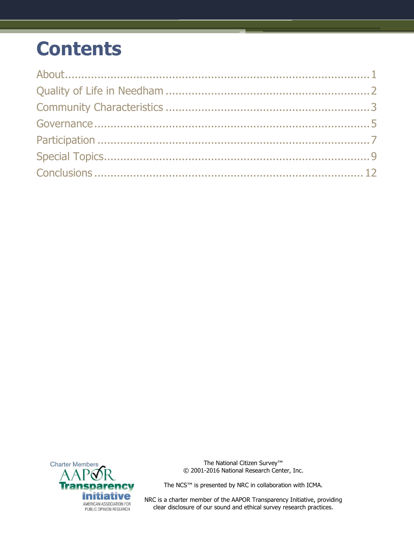## **Contents**



The National Citizen Survey™ © 2001-2016 National Research Center, Inc.

The NCS™ is presented by NRC in collaboration with ICMA.

NRC is a charter member of the AAPOR Transparency Initiative, providing clear disclosure of our sound and ethical survey research practices.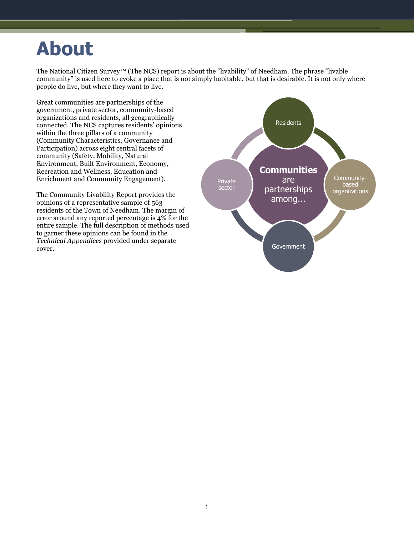## <span id="page-2-0"></span>**About**

The National Citizen Survey™ (The NCS) report is about the "livability" of Needham. The phrase "livable community" is used here to evoke a place that is not simply habitable, but that is desirable. It is not only where people do live, but where they want to live.

Great communities are partnerships of the government, private sector, community-based organizations and residents, all geographically connected. The NCS captures residents' opinions within the three pillars of a community (Community Characteristics, Governance and Participation) across eight central facets of community (Safety, Mobility, Natural Environment, Built Environment, Economy, Recreation and Wellness, Education and Enrichment and Community Engagement).

The Community Livability Report provides the opinions of a representative sample of 563 residents of the Town of Needham. The margin of error around any reported percentage is 4% for the entire sample. The full description of methods used to garner these opinions can be found in the *Technical Appendices* provided under separate cover.

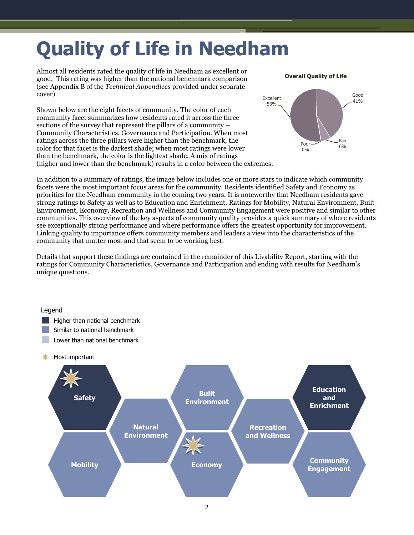# <span id="page-3-0"></span>**Quality of Life in Needham**

Almost all residents rated the quality of life in Needham as excellent or good. This rating was higher than the national benchmark comparison (see Appendix B of the *Technical Appendices* provided under separate cover).

Shown below are the eight facets of community. The color of each community facet summarizes how residents rated it across the three sections of the survey that represent the pillars of a community – Community Characteristics, Governance and Participation. When most ratings across the three pillars were higher than the benchmark, the color for that facet is the darkest shade; when most ratings were lower than the benchmark, the color is the lightest shade. A mix of ratings (higher and lower than the benchmark) results in a color between the extremes.

Excellent 53% Good 41% Fair<br>6% Poor 0% **Overall Quality of Life**

In addition to a summary of ratings, the image below includes one or more stars to indicate which community facets were the most important focus areas for the community. Residents identified Safety and Economy as priorities for the Needham community in the coming two years. It is noteworthy that Needham residents gave strong ratings to Safety as well as to Education and Enrichment. Ratings for Mobility, Natural Environment, Built Environment, Economy, Recreation and Wellness and Community Engagement were positive and similar to other communities. This overview of the key aspects of community quality provides a quick summary of where residents see exceptionally strong performance and where performance offers the greatest opportunity for improvement. Linking quality to importance offers community members and leaders a view into the characteristics of the community that matter most and that seem to be working best.

Details that support these findings are contained in the remainder of this Livability Report, starting with the ratings for Community Characteristics, Governance and Participation and ending with results for Needham's unique questions.

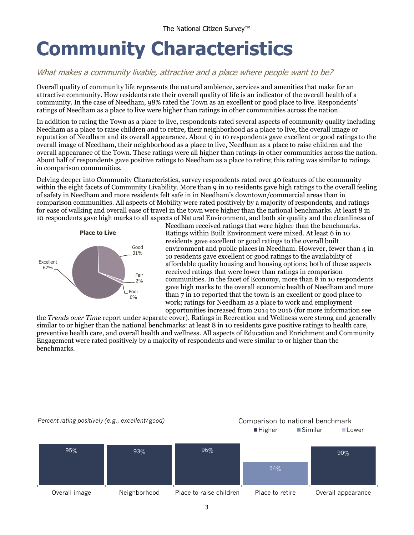## <span id="page-4-0"></span>**Community Characteristics**

### What makes a community livable, attractive and a place where people want to be?

Overall quality of community life represents the natural ambience, services and amenities that make for an attractive community. How residents rate their overall quality of life is an indicator of the overall health of a community. In the case of Needham, 98% rated the Town as an excellent or good place to live. Respondents' ratings of Needham as a place to live were higher than ratings in other communities across the nation.

In addition to rating the Town as a place to live, respondents rated several aspects of community quality including Needham as a place to raise children and to retire, their neighborhood as a place to live, the overall image or reputation of Needham and its overall appearance. About 9 in 10 respondents gave excellent or good ratings to the overall image of Needham, their neighborhood as a place to live, Needham as a place to raise children and the overall appearance of the Town. These ratings were all higher than ratings in other communities across the nation. About half of respondents gave positive ratings to Needham as a place to retire; this rating was similar to ratings in comparison communities.

Delving deeper into Community Characteristics, survey respondents rated over 40 features of the community within the eight facets of Community Livability. More than 9 in 10 residents gave high ratings to the overall feeling of safety in Needham and more residents felt safe in in Needham's downtown/commercial areas than in comparison communities. All aspects of Mobility were rated positively by a majority of respondents, and ratings for ease of walking and overall ease of travel in the town were higher than the national benchmarks. At least 8 in 10 respondents gave high marks to all aspects of Natural Environment, and both air quality and the cleanliness of



Needham received ratings that were higher than the benchmarks. Ratings within Built Environment were mixed. At least 6 in 10 residents gave excellent or good ratings to the overall built environment and public places in Needham. However, fewer than 4 in 10 residents gave excellent or good ratings to the availability of affordable quality housing and housing options; both of these aspects received ratings that were lower than ratings in comparison communities. In the facet of Economy, more than 8 in 10 respondents gave high marks to the overall economic health of Needham and more than 7 in 10 reported that the town is an excellent or good place to work; ratings for Needham as a place to work and employment opportunities increased from 2014 to 2016 (for more information see

the *Trends over Time* report under separate cover). Ratings in Recreation and Wellness were strong and generally similar to or higher than the national benchmarks: at least 8 in 10 residents gave positive ratings to health care, preventive health care, and overall health and wellness. All aspects of Education and Enrichment and Community Engagement were rated positively by a majority of respondents and were similar to or higher than the benchmarks.

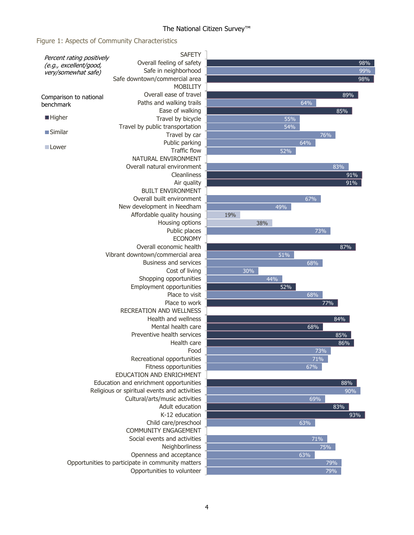### Figure 1: Aspects of Community Characteristics

| Percent rating positively | <b>SAFETY</b>                                     |     |     |     |     |     |
|---------------------------|---------------------------------------------------|-----|-----|-----|-----|-----|
| (e.g., excellent/good,    | Overall feeling of safety                         |     |     |     |     | 98% |
| very/somewhat safe)       | Safe in neighborhood                              |     |     |     |     | 99% |
|                           | Safe downtown/commercial area                     |     |     |     |     | 98% |
|                           | <b>MOBILITY</b>                                   |     |     |     |     |     |
| Comparison to national    | Overall ease of travel                            |     |     |     |     | 89% |
| benchmark                 | Paths and walking trails                          |     |     |     | 64% |     |
|                           | Ease of walking                                   |     |     |     |     | 85% |
| <b>Higher</b>             | Travel by bicycle                                 |     |     | 55% |     |     |
|                           | Travel by public transportation                   |     |     | 54% |     |     |
| ■Similar                  | Travel by car                                     |     |     |     | 76% |     |
|                           | Public parking                                    |     |     |     | 64% |     |
| ■ Lower                   | <b>Traffic flow</b>                               |     |     | 52% |     |     |
|                           | NATURAL ENVIRONMENT                               |     |     |     |     |     |
|                           | Overall natural environment                       |     |     |     |     | 83% |
|                           | Cleanliness                                       |     |     |     |     | 91% |
|                           | Air quality                                       |     |     |     |     | 91% |
|                           | <b>BUILT ENVIRONMENT</b>                          |     |     |     |     |     |
|                           | Overall built environment                         |     |     |     | 67% |     |
|                           | New development in Needham                        |     |     | 49% |     |     |
|                           | Affordable quality housing                        | 19% |     |     |     |     |
|                           | Housing options                                   |     | 38% |     |     |     |
|                           | Public places                                     |     |     |     | 73% |     |
|                           | <b>ECONOMY</b>                                    |     |     |     |     |     |
|                           | Overall economic health                           |     |     |     |     | 87% |
|                           | Vibrant downtown/commercial area                  |     |     | 51% |     |     |
|                           | <b>Business and services</b>                      |     |     |     | 68% |     |
|                           | Cost of living                                    |     | 30% |     |     |     |
|                           | Shopping opportunities                            |     |     | 44% |     |     |
|                           | Employment opportunities                          |     |     | 52% |     |     |
|                           | Place to visit                                    |     |     |     | 68% |     |
|                           | Place to work                                     |     |     |     |     | 77% |
|                           | <b>RECREATION AND WELLNESS</b>                    |     |     |     |     |     |
|                           | Health and wellness                               |     |     |     |     | 84% |
|                           | Mental health care                                |     |     |     | 68% |     |
|                           | Preventive health services                        |     |     |     |     | 85% |
|                           | Health care                                       |     |     |     |     | 86% |
|                           | Food                                              |     |     |     | 73% |     |
|                           | Recreational opportunities                        |     |     |     | 71% |     |
|                           | Fitness opportunities                             |     |     |     | 67% |     |
|                           | EDUCATION AND ENRICHMENT                          |     |     |     |     |     |
|                           | Education and enrichment opportunities            |     |     |     |     | 88% |
|                           | Religious or spiritual events and activities      |     |     |     |     | 90% |
|                           | Cultural/arts/music activities                    |     |     |     | 69% |     |
|                           | Adult education                                   |     |     |     |     | 83% |
|                           | K-12 education                                    |     |     |     |     | 93% |
|                           | Child care/preschool                              |     |     |     | 63% |     |
|                           | COMMUNITY ENGAGEMENT                              |     |     |     |     |     |
|                           | Social events and activities                      |     |     |     | 71% |     |
|                           | Neighborliness                                    |     |     |     | 75% |     |
|                           | Openness and acceptance                           |     |     |     | 63% |     |
|                           | Opportunities to participate in community matters |     |     |     |     | 79% |
|                           | Opportunities to volunteer                        |     |     |     |     | 79% |
|                           |                                                   |     |     |     |     |     |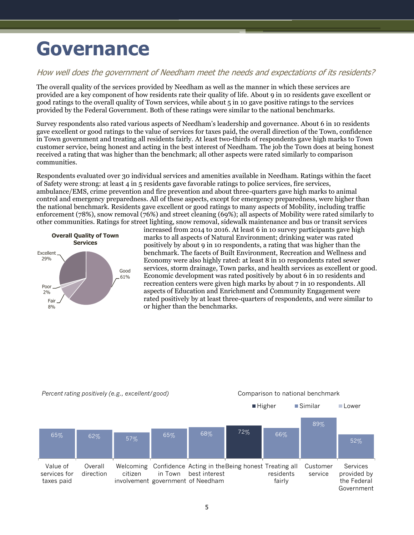## <span id="page-6-0"></span>**Governance**

### How well does the government of Needham meet the needs and expectations of its residents?

The overall quality of the services provided by Needham as well as the manner in which these services are provided are a key component of how residents rate their quality of life. About 9 in 10 residents gave excellent or good ratings to the overall quality of Town services, while about 5 in 10 gave positive ratings to the services provided by the Federal Government. Both of these ratings were similar to the national benchmarks.

Survey respondents also rated various aspects of Needham's leadership and governance. About 6 in 10 residents gave excellent or good ratings to the value of services for taxes paid, the overall direction of the Town, confidence in Town government and treating all residents fairly. At least two-thirds of respondents gave high marks to Town customer service, being honest and acting in the best interest of Needham. The job the Town does at being honest received a rating that was higher than the benchmark; all other aspects were rated similarly to comparison communities.

Respondents evaluated over 30 individual services and amenities available in Needham. Ratings within the facet of Safety were strong: at least 4 in 5 residents gave favorable ratings to police services, fire services, ambulance/EMS, crime prevention and fire prevention and about three-quarters gave high marks to animal control and emergency preparedness. All of these aspects, except for emergency preparedness, were higher than the national benchmark. Residents gave excellent or good ratings to many aspects of Mobility, including traffic enforcement (78%), snow removal (76%) and street cleaning (69%); all aspects of Mobility were rated similarly to other communities. Ratings for street lighting, snow removal, sidewalk maintenance and bus or transit services



increased from 2014 to 2016. At least 6 in 10 survey participants gave high marks to all aspects of Natural Environment; drinking water was rated positively by about 9 in 10 respondents, a rating that was higher than the benchmark. The facets of Built Environment, Recreation and Wellness and Economy were also highly rated: at least 8 in 10 respondents rated sewer services, storm drainage, Town parks, and health services as excellent or good. Economic development was rated positively by about 6 in 10 residents and recreation centers were given high marks by about 7 in 10 respondents. All aspects of Education and Enrichment and Community Engagement were rated positively by at least three-quarters of respondents, and were similar to or higher than the benchmarks.



#### *Percent rating positively (e.g., excellent/good)* Comparison to national benchmark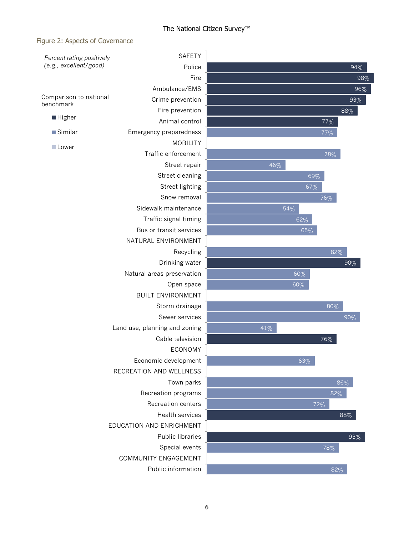#### Figure 2: Aspects of Governance

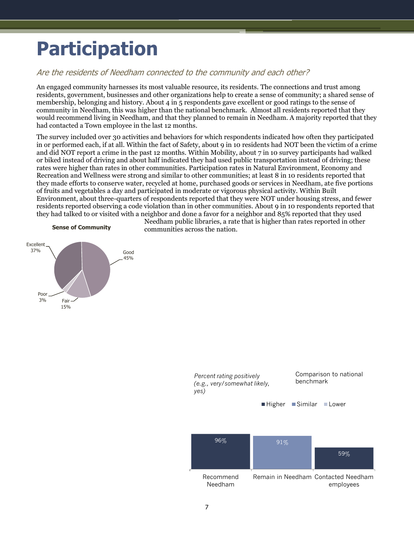## <span id="page-8-0"></span>**Participation**

### Are the residents of Needham connected to the community and each other?

An engaged community harnesses its most valuable resource, its residents. The connections and trust among residents, government, businesses and other organizations help to create a sense of community; a shared sense of membership, belonging and history. About 4 in 5 respondents gave excellent or good ratings to the sense of community in Needham, this was higher than the national benchmark. Almost all residents reported that they would recommend living in Needham, and that they planned to remain in Needham. A majority reported that they had contacted a Town employee in the last 12 months.

The survey included over 30 activities and behaviors for which respondents indicated how often they participated in or performed each, if at all. Within the fact of Safety, about 9 in 10 residents had NOT been the victim of a crime and did NOT report a crime in the past 12 months. Within Mobility, about 7 in 10 survey participants had walked or biked instead of driving and about half indicated they had used public transportation instead of driving; these rates were higher than rates in other communities. Participation rates in Natural Environment, Economy and Recreation and Wellness were strong and similar to other communities; at least 8 in 10 residents reported that they made efforts to conserve water, recycled at home, purchased goods or services in Needham, ate five portions of fruits and vegetables a day and participated in moderate or vigorous physical activity. Within Built Environment, about three-quarters of respondents reported that they were NOT under housing stress, and fewer residents reported observing a code violation than in other communities. About 9 in 10 respondents reported that they had talked to or visited with a neighbor and done a favor for a neighbor and 85% reported that they used



Needham public libraries, a rate that is higher than rates reported in other communities across the nation.

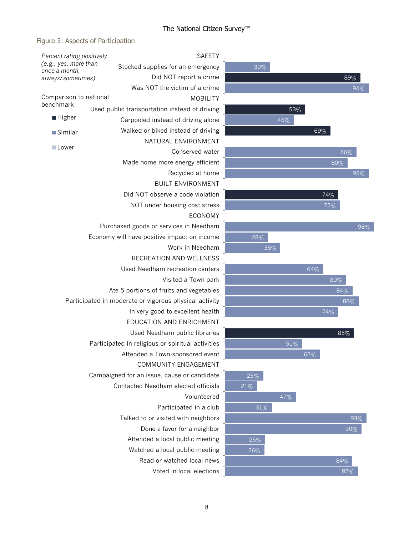### Figure 3: Aspects of Participation

|                                                    | <b>SAFETY</b>                                          |  |  |  |  |
|----------------------------------------------------|--------------------------------------------------------|--|--|--|--|
| Percent rating positively<br>(e.g., yes, more than | Stocked supplies for an emergency                      |  |  |  |  |
| once a month,<br>always/sometimes)                 | Did NOT report a crime                                 |  |  |  |  |
|                                                    | Was NOT the victim of a crime                          |  |  |  |  |
| Comparison to national                             | <b>MOBILITY</b>                                        |  |  |  |  |
| benchmark                                          | Used public transportation instead of driving          |  |  |  |  |
| <b>Higher</b>                                      | Carpooled instead of driving alone                     |  |  |  |  |
| <b>Similar</b>                                     | Walked or biked instead of driving                     |  |  |  |  |
|                                                    | NATURAL ENVIRONMENT                                    |  |  |  |  |
| ⊟Lower                                             | Conserved water                                        |  |  |  |  |
|                                                    | Made home more energy efficient                        |  |  |  |  |
|                                                    | Recycled at home                                       |  |  |  |  |
|                                                    | <b>BUILT ENVIRONMENT</b>                               |  |  |  |  |
|                                                    | Did NOT observe a code violation                       |  |  |  |  |
|                                                    | NOT under housing cost stress                          |  |  |  |  |
|                                                    | <b>ECONOMY</b>                                         |  |  |  |  |
|                                                    | Purchased goods or services in Needham                 |  |  |  |  |
|                                                    | Economy will have positive impact on income            |  |  |  |  |
|                                                    | Work in Needham                                        |  |  |  |  |
|                                                    | RECREATION AND WELLNESS                                |  |  |  |  |
|                                                    | Used Needham recreation centers                        |  |  |  |  |
|                                                    | Visited a Town park                                    |  |  |  |  |
|                                                    | Ate 5 portions of fruits and vegetables                |  |  |  |  |
|                                                    | Participated in moderate or vigorous physical activity |  |  |  |  |
|                                                    | In very good to excellent health                       |  |  |  |  |
|                                                    | EDUCATION AND ENRICHMENT                               |  |  |  |  |
|                                                    | Used Needham public libraries                          |  |  |  |  |
|                                                    | Participated in religious or spiritual activities      |  |  |  |  |
|                                                    | Attended a Town-sponsored event                        |  |  |  |  |
|                                                    | COMMUNITY ENGAGEMENT                                   |  |  |  |  |
|                                                    | Campaigned for an issue, cause or candidate            |  |  |  |  |
|                                                    | Contacted Needham elected officials                    |  |  |  |  |
|                                                    | Volunteered                                            |  |  |  |  |
|                                                    | Participated in a club                                 |  |  |  |  |
|                                                    | Talked to or visited with neighbors                    |  |  |  |  |
|                                                    | Done a favor for a neighbor                            |  |  |  |  |
|                                                    | Attended a local public meeting                        |  |  |  |  |
|                                                    | Watched a local public meeting                         |  |  |  |  |
|                                                    | Read or watched local news                             |  |  |  |  |
|                                                    | Voted in local elections                               |  |  |  |  |

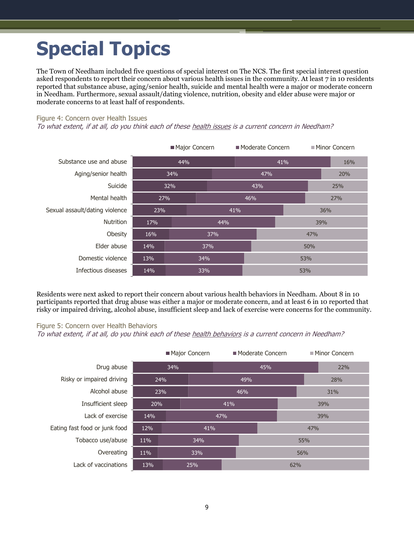## <span id="page-10-0"></span>**Special Topics**

The Town of Needham included five questions of special interest on The NCS. The first special interest question asked respondents to report their concern about various health issues in the community. At least 7 in 10 residents reported that substance abuse, aging/senior health, suicide and mental health were a major or moderate concern in Needham. Furthermore, sexual assault/dating violence, nutrition, obesity and elder abuse were major or moderate concerns to at least half of respondents.

#### Figure 4: Concern over Health Issues

To what extent, if at all, do you think each of these health issues is a current concern in Needham?

|                                | Major Concern |     |     | Moderate Concern |     | ■ Minor Concern |     |     |  |
|--------------------------------|---------------|-----|-----|------------------|-----|-----------------|-----|-----|--|
| Substance use and abuse        | 44%           |     |     | 41%              |     |                 |     | 16% |  |
| Aging/senior health            | 34%           |     |     | 47%              |     |                 | 20% |     |  |
| Suicide                        |               | 32% |     |                  | 43% |                 |     | 25% |  |
| Mental health                  | 27%           |     |     | 46%              |     | 27%             |     |     |  |
| Sexual assault/dating violence | 23%           |     |     | 41%              |     | 36%             |     |     |  |
| <b>Nutrition</b>               | 17%           |     | 44% |                  |     | 39%             |     |     |  |
| Obesity                        | 16%           |     | 37% | 47%              |     |                 |     |     |  |
| Elder abuse                    | 14%           |     | 37% |                  |     | 50%             |     |     |  |
| Domestic violence              | 13%           |     | 34% |                  |     | 53%             |     |     |  |
| Infectious diseases            | 14%           |     | 33% |                  | 53% |                 |     |     |  |

Residents were next asked to report their concern about various health behaviors in Needham. About 8 in 10 participants reported that drug abuse was either a major or moderate concern, and at least 6 in 10 reported that risky or impaired driving, alcohol abuse, insufficient sleep and lack of exercise were concerns for the community.

#### Figure 5: Concern over Health Behaviors

To what extent, if at all, do you think each of these health behaviors is a current concern in Needham?

| Major Concern                 |     |            | ■ Moderate Concern |     |     | ■ Minor Concern |     |  |
|-------------------------------|-----|------------|--------------------|-----|-----|-----------------|-----|--|
| Drug abuse                    | 34% |            |                    |     | 45% |                 | 22% |  |
| Risky or impaired driving     |     | 24%        |                    | 49% |     |                 | 28% |  |
| Alcohol abuse                 |     | 23%<br>46% |                    |     |     | 31%             |     |  |
| Insufficient sleep            | 20% | 41%        |                    |     |     | 39%             |     |  |
| Lack of exercise              | 14% | 47%        |                    |     |     | 39%             |     |  |
| Eating fast food or junk food | 12% | 41%        |                    |     | 47% |                 |     |  |
| Tobacco use/abuse             | 11% |            | 34%                | 55% |     |                 |     |  |
| Overeating                    | 11% |            | 33%                |     | 56% |                 |     |  |
| Lack of vaccinations          | 13% |            | 25%<br>62%         |     |     |                 |     |  |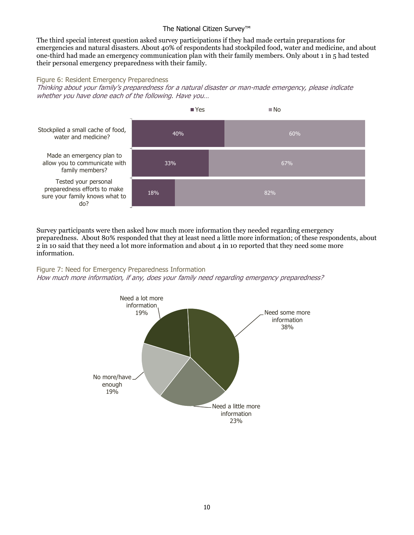The third special interest question asked survey participations if they had made certain preparations for emergencies and natural disasters. About 40% of respondents had stockpiled food, water and medicine, and about one-third had made an emergency communication plan with their family members. Only about 1 in 5 had tested their personal emergency preparedness with their family.

#### Figure 6: Resident Emergency Preparedness

Thinking about your family's preparedness for a natural disaster or man-made emergency, please indicate whether you have done each of the following. Have you…



Survey participants were then asked how much more information they needed regarding emergency preparedness. About 80% responded that they at least need a little more information; of these respondents, about 2 in 10 said that they need a lot more information and about 4 in 10 reported that they need some more information.

#### Figure 7: Need for Emergency Preparedness Information

How much more information, if any, does your family need regarding emergency preparedness?

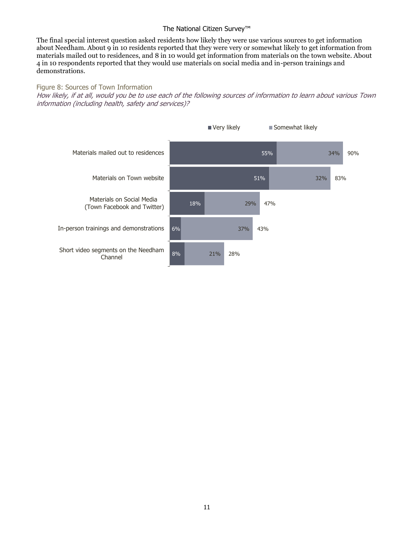The final special interest question asked residents how likely they were use various sources to get information about Needham. About 9 in 10 residents reported that they were very or somewhat likely to get information from materials mailed out to residences, and 8 in 10 would get information from materials on the town website. About 4 in 10 respondents reported that they would use materials on social media and in-person trainings and demonstrations.

Figure 8: Sources of Town Information How likely, if at all, would you be to use each of the following sources of information to learn about various Town information (including health, safety and services)?